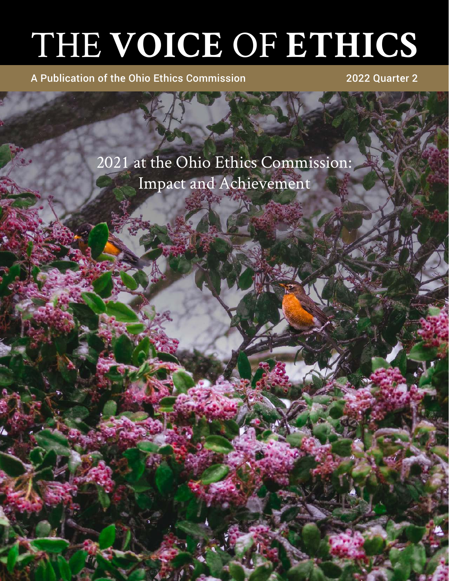# THE **VOICE** OF **ETHICS**

A Publication of the Ohio Ethics Commission 2022 Quarter 2

2021 at the Ohio Ethics Commission: Impact and Achievement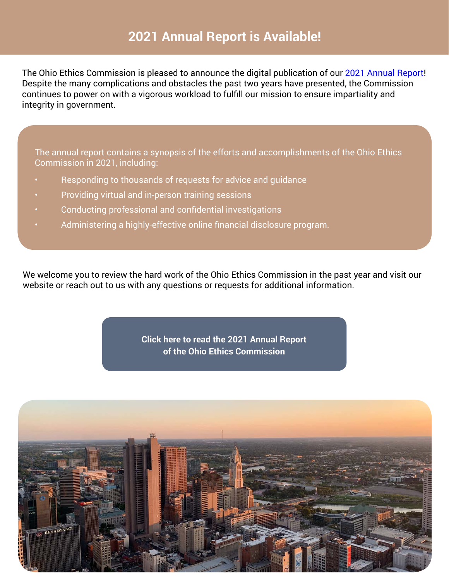# **2021 Annual Report is Available!**

The Ohio Ethics Commission is pleased to announce the digital publication of our [2021 Annual Report!](https://ethics.ohio.gov/about/annualreport.html) Despite the many complications and obstacles the past two years have presented, the Commission continues to power on with a vigorous workload to fulfill our mission to ensure impartiality and integrity in government.

The annual report contains a synopsis of the efforts and accomplishments of the Ohio Ethics Commission in 2021, including:

- Responding to thousands of requests for advice and guidance
- Providing virtual and in-person training sessions
- Conducting professional and confidential investigations
- Administering a highly-effective online financial disclosure program.

We welcome you to review the hard work of the Ohio Ethics Commission in the past year and visit our website or reach out to us with any questions or requests for additional information.

> **[Click here to read the 2021 Annual Report](https://ethics.ohio.gov/about/annualreport.html) of the Ohio Ethics Commission**

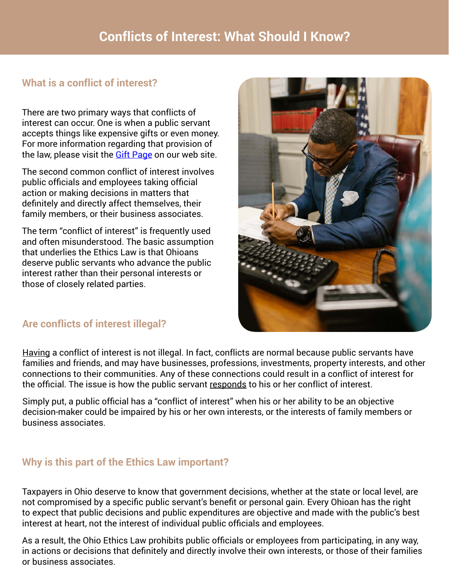# **What is a conflict of interest?**

There are two primary ways that conflicts of interest can occur. One is when a public servant accepts things like expensive gifts or even money. For more information regarding that provision of the law, please visit the **Gift Page** on our web site.

The second common conflict of interest involves public officials and employees taking official action or making decisions in matters that definitely and directly affect themselves, their family members, or their business associates.

The term "conflict of interest" is frequently used and often misunderstood. The basic assumption that underlies the Ethics Law is that Ohioans deserve public servants who advance the public interest rather than their personal interests or those of closely related parties.



# **Are conflicts of interest illegal?**

Having a conflict of interest is not illegal. In fact, conflicts are normal because public servants have families and friends, and may have businesses, professions, investments, property interests, and other connections to their communities. Any of these connections could result in a conflict of interest for the official. The issue is how the public servant responds to his or her conflict of interest.

Simply put, a public official has a "conflict of interest" when his or her ability to be an objective decision-maker could be impaired by his or her own interests, or the interests of family members or business associates.

# **Why is this part of the Ethics Law important?**

Taxpayers in Ohio deserve to know that government decisions, whether at the state or local level, are not compromised by a specific public servant's benefit or personal gain. Every Ohioan has the right to expect that public decisions and public expenditures are objective and made with the public's best interest at heart, not the interest of individual public officials and employees.

As a result, the Ohio Ethics Law prohibits public officials or employees from participating, in any way, in actions or decisions that definitely and directly involve their own interests, or those of their families or business associates.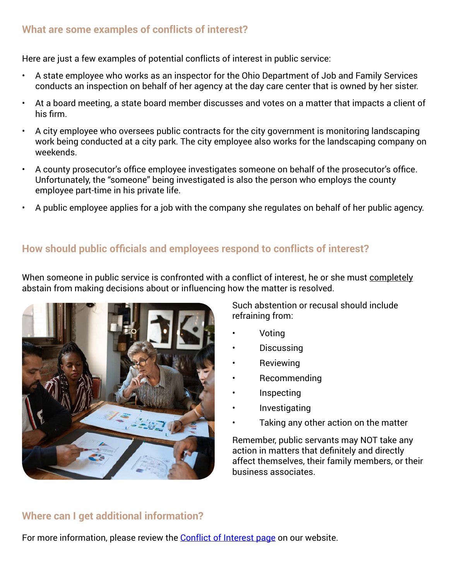# **What are some examples of conflicts of interest?**

Here are just a few examples of potential conflicts of interest in public service:

- A state employee who works as an inspector for the Ohio Department of Job and Family Services conducts an inspection on behalf of her agency at the day care center that is owned by her sister.
- At a board meeting, a state board member discusses and votes on a matter that impacts a client of his firm.
- A city employee who oversees public contracts for the city government is monitoring landscaping work being conducted at a city park. The city employee also works for the landscaping company on weekends.
- A county prosecutor's office employee investigates someone on behalf of the prosecutor's office. Unfortunately, the "someone" being investigated is also the person who employs the county employee part-time in his private life.
- A public employee applies for a job with the company she regulates on behalf of her public agency.

# **How should public officials and employees respond to conflicts of interest?**

When someone in public service is confronted with a conflict of interest, he or she must completely abstain from making decisions about or influencing how the matter is resolved.



Such abstention or recusal should include refraining from:

- Voting
- Discussing
- **Reviewing**
- Recommending
- Inspecting
- **Investigating**
- Taking any other action on the matter

Remember, public servants may NOT take any action in matters that definitely and directly affect themselves, their family members, or their business associates.

# **Where can I get additional information?**

For more information, please review the [Conflict of Interest page](https://ethics.ohio.gov/education/coi.html) on our website.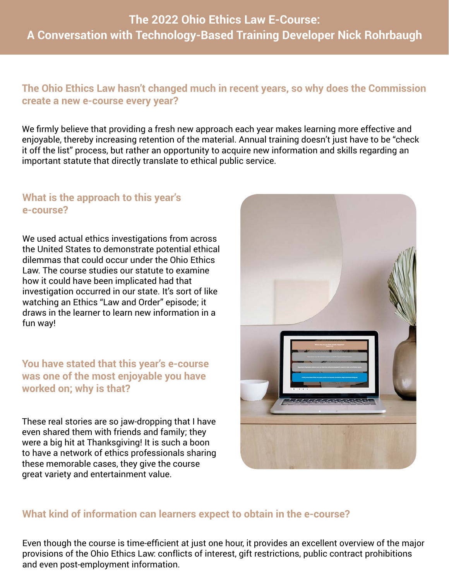# **The 2022 Ohio Ethics Law E-Course: A Conversation with Technology-Based Training Developer Nick Rohrbaugh**

#### **The Ohio Ethics Law hasn't changed much in recent years, so why does the Commission create a new e-course every year?**

We firmly believe that providing a fresh new approach each year makes learning more effective and enjoyable, thereby increasing retention of the material. Annual training doesn't just have to be "check it off the list" process, but rather an opportunity to acquire new information and skills regarding an important statute that directly translate to ethical public service.

#### **What is the approach to this year's e-course?**

We used actual ethics investigations from across the United States to demonstrate potential ethical dilemmas that could occur under the Ohio Ethics Law. The course studies our statute to examine how it could have been implicated had that investigation occurred in our state. It's sort of like watching an Ethics "Law and Order" episode; it draws in the learner to learn new information in a fun way!

**You have stated that this year's e-course was one of the most enjoyable you have worked on; why is that?**

These real stories are so jaw-dropping that I have even shared them with friends and family; they were a big hit at Thanksgiving! It is such a boon to have a network of ethics professionals sharing these memorable cases, they give the course great variety and entertainment value.



#### **What kind of information can learners expect to obtain in the e-course?**

Even though the course is time-efficient at just one hour, it provides an excellent overview of the major provisions of the Ohio Ethics Law: conflicts of interest, gift restrictions, public contract prohibitions and even post-employment information.